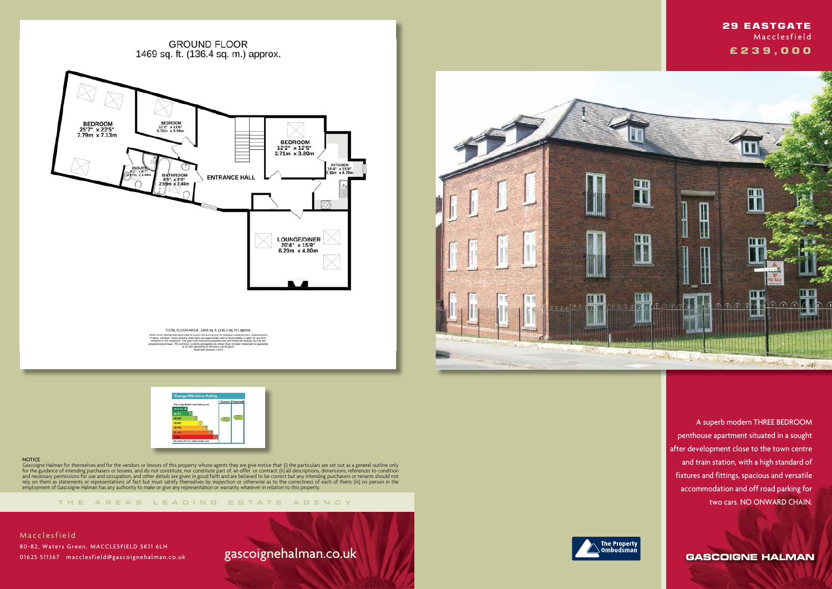**GROUND FLOOR** 1469 sq. ft. (136.4 sq. m.) approx.



TOTAL FLOOR AREA: 1469 sq. ft. (136.4 sq. m.) approx. pt has been made to ensure the accuracy of the floorplan-contained here, measurements<br>. norms and any other items are approximate and no responsibility is laken for any error,<br>Hatement, This plan is for illustrative purpos



### **NOTICE**

**THE AREA S LEADING ES T A TE A G E N C Y**



Gascoigne Halman for themselves and for the vendors or lessors of this property whose agents they are give notice that: (i) the particulars are set out as a general outline only for the guidance of intending purchasers or lessees, and do not constitute, nor constitute part of, an offer or contract; (ii) all descriptions, dimensions, references to condition and necessary permissions for use and occupation, and other details are given in good faith and are believed to be correct but any intending purchasers or tenants should not rely on them as statements or representations of fact but must satisfy themselves by inspection or otherwise as to the correctness of each of them; (iii) no person in the employment of Gascoigne Halman has any authority to make or give any representation or warranty whatever in relation to this property.

**Macclesfield**  80-82, Waters Green, MACCLESFIELD SK11 6LH 01625 511367 macclesfield@gascoignehalman.co.uk

# gascoignehalman.co.uk



 A superb modern THREE BEDROOM penthouse apartment situated in a sought after development close to the town centre and train station, with a high standard of fixtures and fittings, spacious and versatile accommodation and off road parking for two cars. NO ONWARD CHAIN.

**GASCOIGNE HALMAN** 



## **29 EASTGATE Macclesfield £ 2 3 9 , 0 0 0**